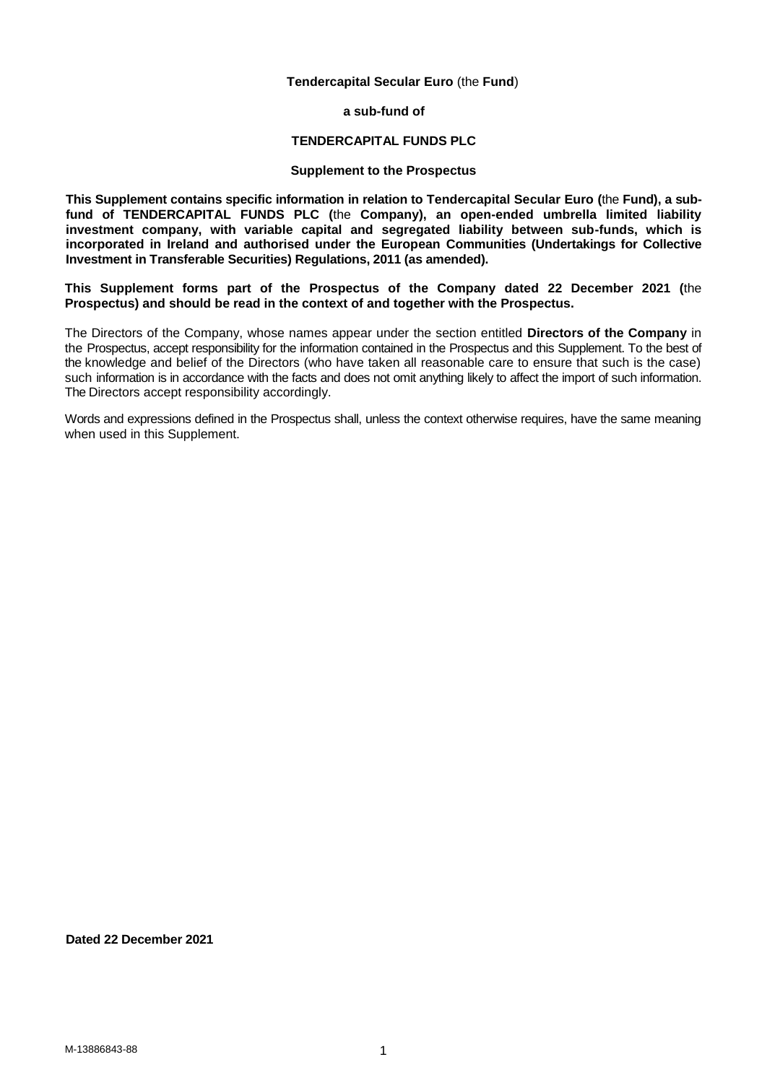## **Tendercapital Secular Euro** (the **Fund**)

**a sub-fund of**

### **TENDERCAPITAL FUNDS PLC**

## **Supplement to the Prospectus**

**This Supplement contains specific information in relation to Tendercapital Secular Euro (**the **Fund), a subfund of TENDERCAPITAL FUNDS PLC (**the **Company), an open-ended umbrella limited liability investment company, with variable capital and segregated liability between sub-funds, which is incorporated in Ireland and authorised under the European Communities (Undertakings for Collective Investment in Transferable Securities) Regulations, 2011 (as amended).**

**This Supplement forms part of the Prospectus of the Company dated 22 December 2021 (**the **Prospectus) and should be read in the context of and together with the Prospectus.**

The Directors of the Company, whose names appear under the section entitled **Directors of the Company** in the Prospectus, accept responsibility for the information contained in the Prospectus and this Supplement. To the best of the knowledge and belief of the Directors (who have taken all reasonable care to ensure that such is the case) such information is in accordance with the facts and does not omit anything likely to affect the import of such information. The Directors accept responsibility accordingly.

Words and expressions defined in the Prospectus shall, unless the context otherwise requires, have the same meaning when used in this Supplement.

## **Dated 22 December 2021**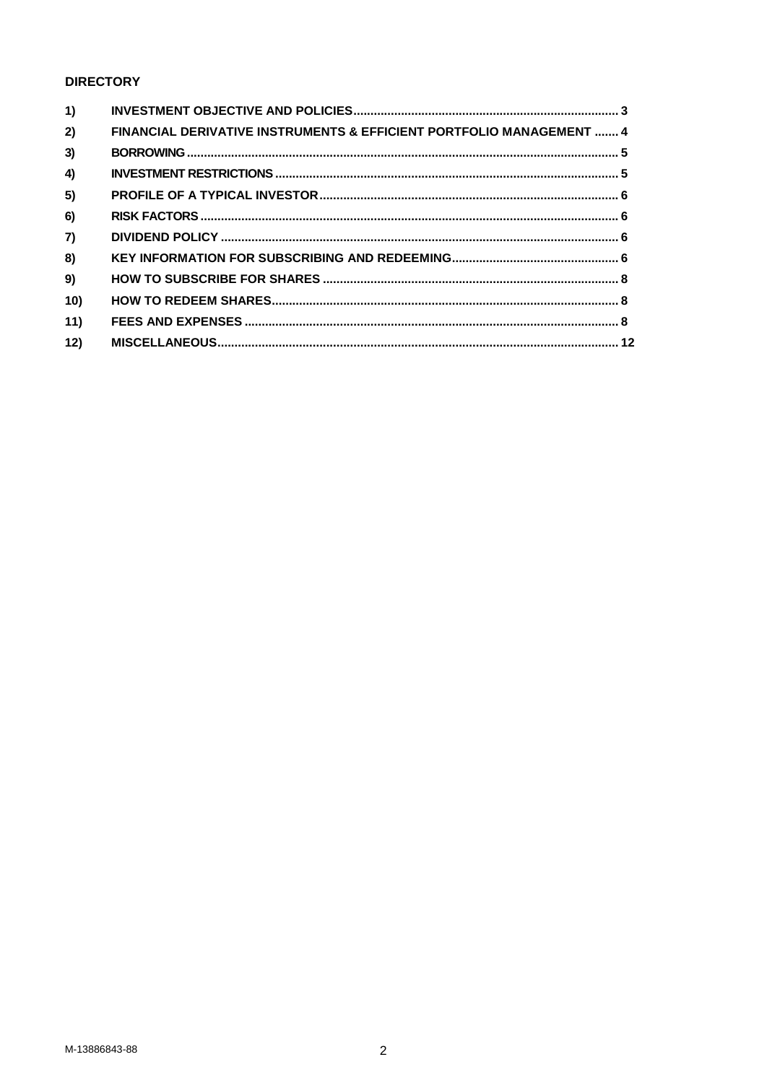# **DIRECTORY**

| 1)  |                                                                      |  |
|-----|----------------------------------------------------------------------|--|
| 2)  | FINANCIAL DERIVATIVE INSTRUMENTS & EFFICIENT PORTFOLIO MANAGEMENT  4 |  |
| 3)  |                                                                      |  |
| 4)  |                                                                      |  |
| 5)  |                                                                      |  |
| 6)  |                                                                      |  |
| 7)  |                                                                      |  |
| 8)  |                                                                      |  |
| 9)  |                                                                      |  |
| 10) |                                                                      |  |
| 11) |                                                                      |  |
| 12) |                                                                      |  |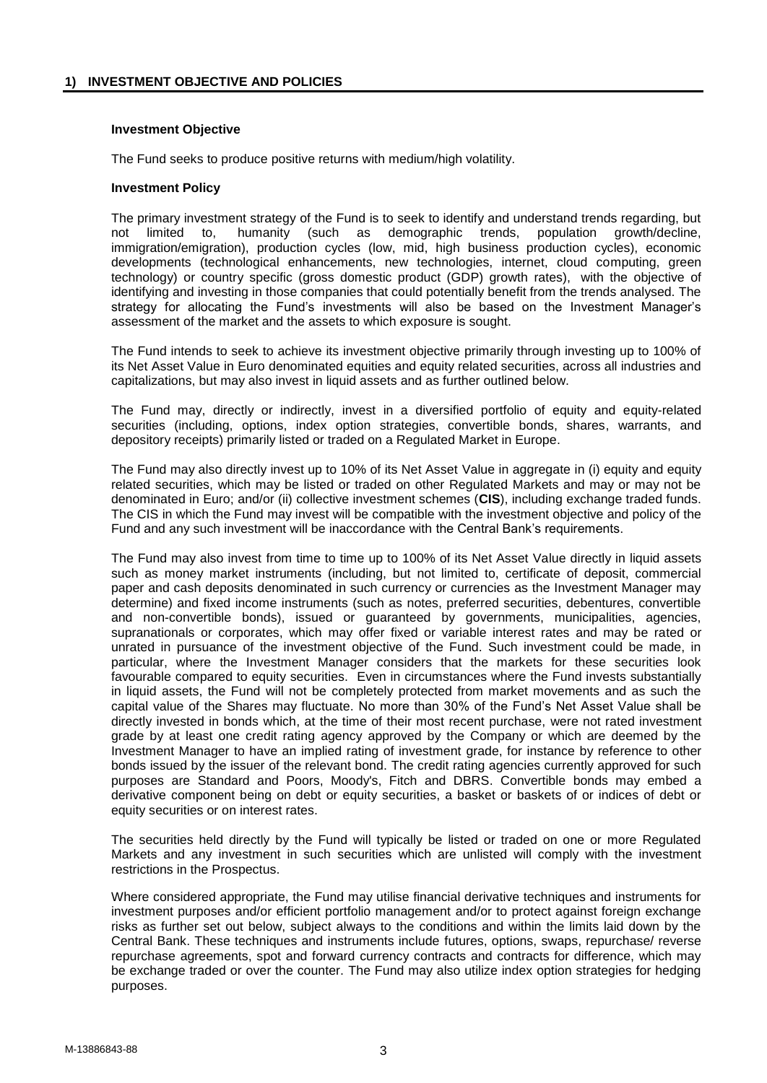## <span id="page-2-0"></span>**Investment Objective**

The Fund seeks to produce positive returns with medium/high volatility.

## **Investment Policy**

The primary investment strategy of the Fund is to seek to identify and understand trends regarding, but not limited to, humanity (such as demographic trends, population growth/decline, immigration/emigration), production cycles (low, mid, high business production cycles), economic developments (technological enhancements, new technologies, internet, cloud computing, green technology) or country specific (gross domestic product (GDP) growth rates), with the objective of identifying and investing in those companies that could potentially benefit from the trends analysed. The strategy for allocating the Fund's investments will also be based on the Investment Manager's assessment of the market and the assets to which exposure is sought.

The Fund intends to seek to achieve its investment objective primarily through investing up to 100% of its Net Asset Value in Euro denominated equities and equity related securities, across all industries and capitalizations, but may also invest in liquid assets and as further outlined below.

The Fund may, directly or indirectly, invest in a diversified portfolio of equity and equity-related securities (including, options, index option strategies, convertible bonds, shares, warrants, and depository receipts) primarily listed or traded on a Regulated Market in Europe.

The Fund may also directly invest up to 10% of its Net Asset Value in aggregate in (i) equity and equity related securities, which may be listed or traded on other Regulated Markets and may or may not be denominated in Euro; and/or (ii) collective investment schemes (**CIS**), including exchange traded funds. The CIS in which the Fund may invest will be compatible with the investment objective and policy of the Fund and any such investment will be inaccordance with the Central Bank's requirements.

The Fund may also invest from time to time up to 100% of its Net Asset Value directly in liquid assets such as money market instruments (including, but not limited to, certificate of deposit, commercial paper and cash deposits denominated in such currency or currencies as the Investment Manager may determine) and fixed income instruments (such as notes, preferred securities, debentures, convertible and non-convertible bonds), issued or guaranteed by governments, municipalities, agencies, supranationals or corporates, which may offer fixed or variable interest rates and may be rated or unrated in pursuance of the investment objective of the Fund. Such investment could be made, in particular, where the Investment Manager considers that the markets for these securities look favourable compared to equity securities. Even in circumstances where the Fund invests substantially in liquid assets, the Fund will not be completely protected from market movements and as such the capital value of the Shares may fluctuate. No more than 30% of the Fund's Net Asset Value shall be directly invested in bonds which, at the time of their most recent purchase, were not rated investment grade by at least one credit rating agency approved by the Company or which are deemed by the Investment Manager to have an implied rating of investment grade, for instance by reference to other bonds issued by the issuer of the relevant bond. The credit rating agencies currently approved for such purposes are Standard and Poors, Moody's, Fitch and DBRS. Convertible bonds may embed a derivative component being on debt or equity securities, a basket or baskets of or indices of debt or equity securities or on interest rates.

The securities held directly by the Fund will typically be listed or traded on one or more Regulated Markets and any investment in such securities which are unlisted will comply with the investment restrictions in the Prospectus.

Where considered appropriate, the Fund may utilise financial derivative techniques and instruments for investment purposes and/or efficient portfolio management and/or to protect against foreign exchange risks as further set out below, subject always to the conditions and within the limits laid down by the Central Bank. These techniques and instruments include futures, options, swaps, repurchase/ reverse repurchase agreements, spot and forward currency contracts and contracts for difference, which may be exchange traded or over the counter. The Fund may also utilize index option strategies for hedging purposes.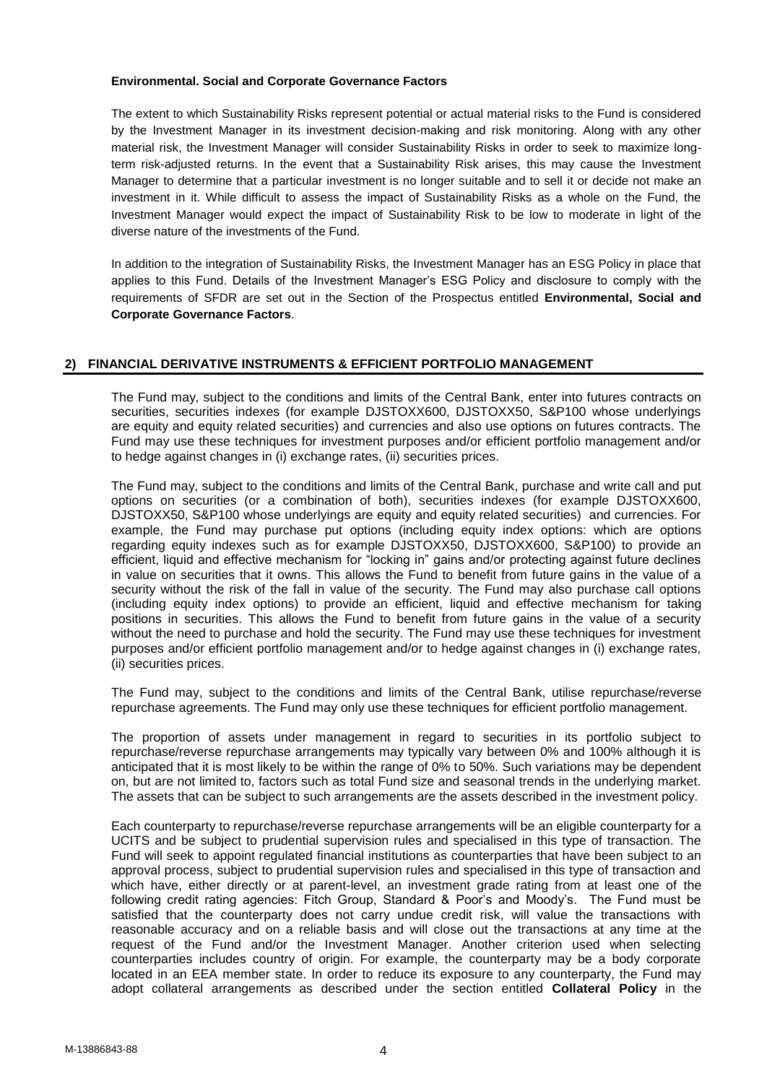## **Environmental. Social and Corporate Governance Factors**

The extent to which Sustainability Risks represent potential or actual material risks to the Fund is considered by the Investment Manager in its investment decision-making and risk monitoring. Along with any other material risk, the Investment Manager will consider Sustainability Risks in order to seek to maximize longterm risk-adjusted returns. In the event that a Sustainability Risk arises, this may cause the Investment Manager to determine that a particular investment is no longer suitable and to sell it or decide not make an investment in it. While difficult to assess the impact of Sustainability Risks as a whole on the Fund, the Investment Manager would expect the impact of Sustainability Risk to be low to moderate in light of the diverse nature of the investments of the Fund.

In addition to the integration of Sustainability Risks, the Investment Manager has an ESG Policy in place that applies to this Fund. Details of the Investment Manager's ESG Policy and disclosure to comply with the requirements of SFDR are set out in the Section of the Prospectus entitled **Environmental, Social and Corporate Governance Factors**.

## <span id="page-3-0"></span>**2) FINANCIAL DERIVATIVE INSTRUMENTS & EFFICIENT PORTFOLIO MANAGEMENT**

The Fund may, subject to the conditions and limits of the Central Bank, enter into futures contracts on securities, securities indexes (for example DJSTOXX600, DJSTOXX50, S&P100 whose underlyings are equity and equity related securities) and currencies and also use options on futures contracts. The Fund may use these techniques for investment purposes and/or efficient portfolio management and/or to hedge against changes in (i) exchange rates, (ii) securities prices.

The Fund may, subject to the conditions and limits of the Central Bank, purchase and write call and put options on securities (or a combination of both), securities indexes (for example DJSTOXX600, DJSTOXX50, S&P100 whose underlyings are equity and equity related securities) and currencies. For example, the Fund may purchase put options (including equity index options: which are options regarding equity indexes such as for example DJSTOXX50, DJSTOXX600, S&P100) to provide an efficient, liquid and effective mechanism for "locking in" gains and/or protecting against future declines in value on securities that it owns. This allows the Fund to benefit from future gains in the value of a security without the risk of the fall in value of the security. The Fund may also purchase call options (including equity index options) to provide an efficient, liquid and effective mechanism for taking positions in securities. This allows the Fund to benefit from future gains in the value of a security without the need to purchase and hold the security. The Fund may use these techniques for investment purposes and/or efficient portfolio management and/or to hedge against changes in (i) exchange rates, (ii) securities prices.

The Fund may, subject to the conditions and limits of the Central Bank, utilise repurchase/reverse repurchase agreements. The Fund may only use these techniques for efficient portfolio management.

The proportion of assets under management in regard to securities in its portfolio subject to repurchase/reverse repurchase arrangements may typically vary between 0% and 100% although it is anticipated that it is most likely to be within the range of 0% to 50%. Such variations may be dependent on, but are not limited to, factors such as total Fund size and seasonal trends in the underlying market. The assets that can be subject to such arrangements are the assets described in the investment policy.

Each counterparty to repurchase/reverse repurchase arrangements will be an eligible counterparty for a UCITS and be subject to prudential supervision rules and specialised in this type of transaction. The Fund will seek to appoint regulated financial institutions as counterparties that have been subject to an approval process, subject to prudential supervision rules and specialised in this type of transaction and which have, either directly or at parent-level, an investment grade rating from at least one of the following credit rating agencies: Fitch Group, Standard & Poor's and Moody's. The Fund must be satisfied that the counterparty does not carry undue credit risk, will value the transactions with reasonable accuracy and on a reliable basis and will close out the transactions at any time at the request of the Fund and/or the Investment Manager. Another criterion used when selecting counterparties includes country of origin. For example, the counterparty may be a body corporate located in an EEA member state. In order to reduce its exposure to any counterparty, the Fund may adopt collateral arrangements as described under the section entitled **Collateral Policy** in the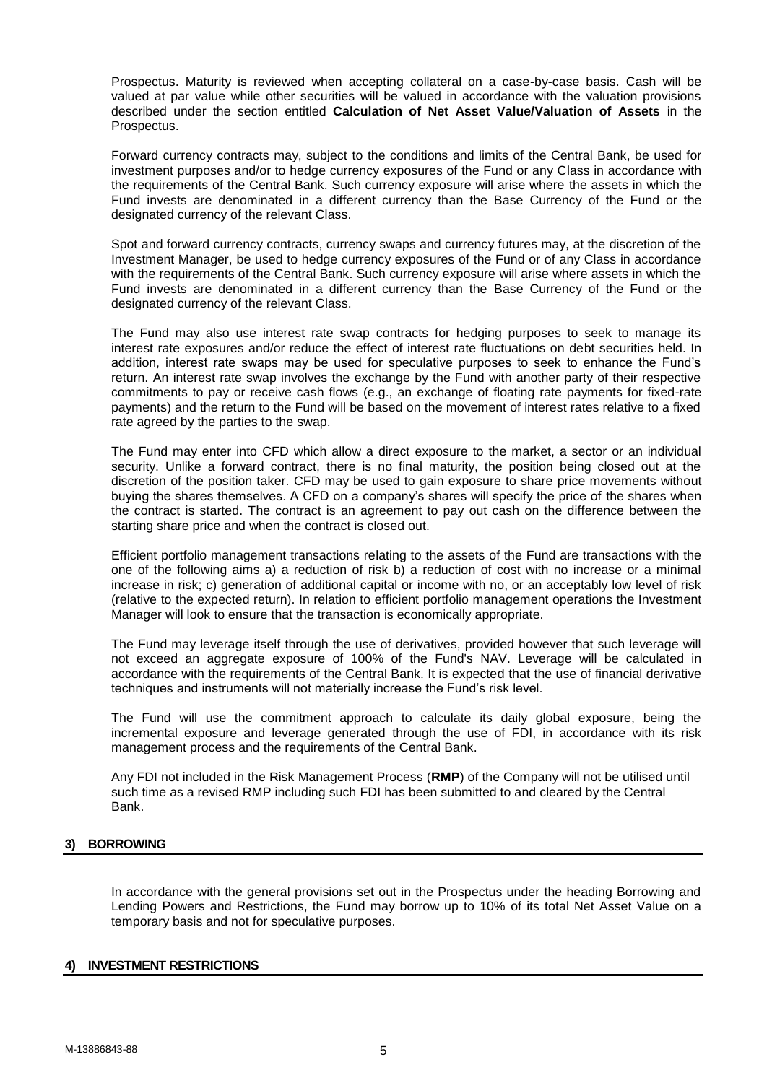Prospectus. Maturity is reviewed when accepting collateral on a case-by-case basis. Cash will be valued at par value while other securities will be valued in accordance with the valuation provisions described under the section entitled **Calculation of Net Asset Value/Valuation of Assets** in the Prospectus.

Forward currency contracts may, subject to the conditions and limits of the Central Bank, be used for investment purposes and/or to hedge currency exposures of the Fund or any Class in accordance with the requirements of the Central Bank. Such currency exposure will arise where the assets in which the Fund invests are denominated in a different currency than the Base Currency of the Fund or the designated currency of the relevant Class.

Spot and forward currency contracts, currency swaps and currency futures may, at the discretion of the Investment Manager, be used to hedge currency exposures of the Fund or of any Class in accordance with the requirements of the Central Bank. Such currency exposure will arise where assets in which the Fund invests are denominated in a different currency than the Base Currency of the Fund or the designated currency of the relevant Class.

The Fund may also use interest rate swap contracts for hedging purposes to seek to manage its interest rate exposures and/or reduce the effect of interest rate fluctuations on debt securities held. In addition, interest rate swaps may be used for speculative purposes to seek to enhance the Fund's return. An interest rate swap involves the exchange by the Fund with another party of their respective commitments to pay or receive cash flows (e.g., an exchange of floating rate payments for fixed-rate payments) and the return to the Fund will be based on the movement of interest rates relative to a fixed rate agreed by the parties to the swap.

The Fund may enter into CFD which allow a direct exposure to the market, a sector or an individual security. Unlike a forward contract, there is no final maturity, the position being closed out at the discretion of the position taker. CFD may be used to gain exposure to share price movements without buying the shares themselves. A CFD on a company's shares will specify the price of the shares when the contract is started. The contract is an agreement to pay out cash on the difference between the starting share price and when the contract is closed out.

Efficient portfolio management transactions relating to the assets of the Fund are transactions with the one of the following aims a) a reduction of risk b) a reduction of cost with no increase or a minimal increase in risk; c) generation of additional capital or income with no, or an acceptably low level of risk (relative to the expected return). In relation to efficient portfolio management operations the Investment Manager will look to ensure that the transaction is economically appropriate.

The Fund may leverage itself through the use of derivatives, provided however that such leverage will not exceed an aggregate exposure of 100% of the Fund's NAV. Leverage will be calculated in accordance with the requirements of the Central Bank. It is expected that the use of financial derivative techniques and instruments will not materially increase the Fund's risk level.

The Fund will use the commitment approach to calculate its daily global exposure, being the incremental exposure and leverage generated through the use of FDI, in accordance with its risk management process and the requirements of the Central Bank.

Any FDI not included in the Risk Management Process (**RMP**) of the Company will not be utilised until such time as a revised RMP including such FDI has been submitted to and cleared by the Central Bank.

## <span id="page-4-0"></span>**3) BORROWING**

In accordance with the general provisions set out in the Prospectus under the heading Borrowing and Lending Powers and Restrictions, the Fund may borrow up to 10% of its total Net Asset Value on a temporary basis and not for speculative purposes.

## <span id="page-4-1"></span>**4) INVESTMENT RESTRICTIONS**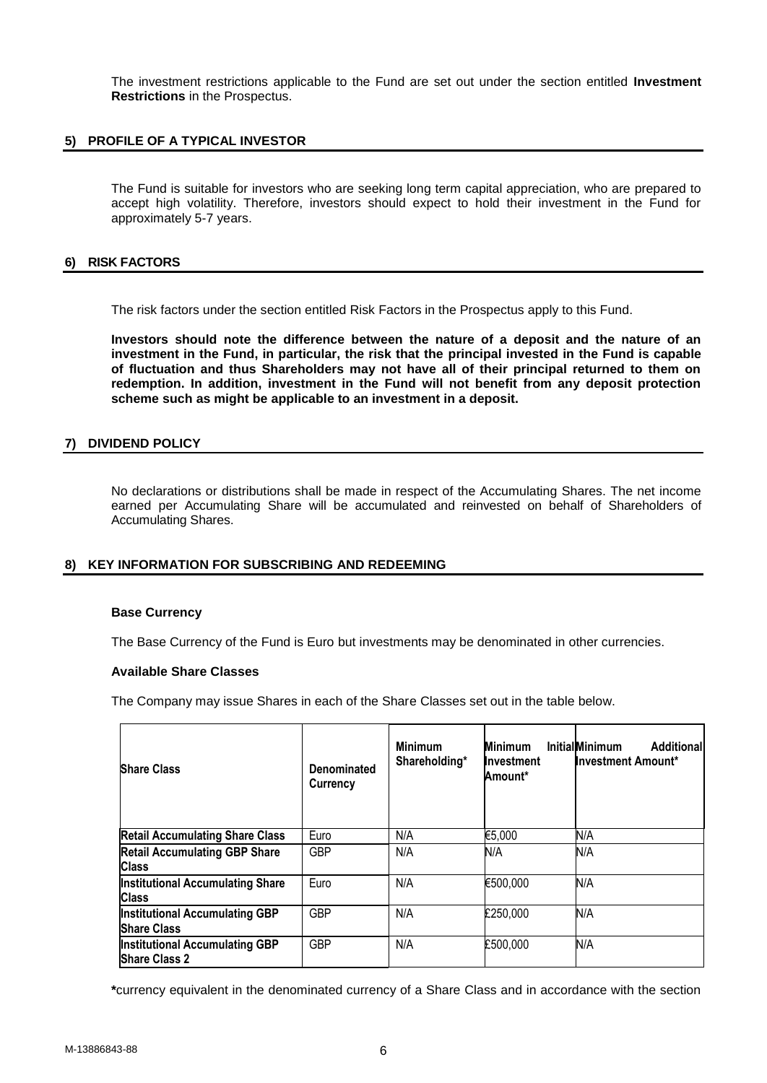The investment restrictions applicable to the Fund are set out under the section entitled **Investment Restrictions** in the Prospectus.

## <span id="page-5-0"></span>**5) PROFILE OF A TYPICAL INVESTOR**

The Fund is suitable for investors who are seeking long term capital appreciation, who are prepared to accept high volatility. Therefore, investors should expect to hold their investment in the Fund for approximately 5-7 years.

### <span id="page-5-1"></span>**6) RISK FACTORS**

The risk factors under the section entitled Risk Factors in the Prospectus apply to this Fund.

**Investors should note the difference between the nature of a deposit and the nature of an investment in the Fund, in particular, the risk that the principal invested in the Fund is capable of fluctuation and thus Shareholders may not have all of their principal returned to them on redemption. In addition, investment in the Fund will not benefit from any deposit protection scheme such as might be applicable to an investment in a deposit.**

## <span id="page-5-2"></span>**7) DIVIDEND POLICY**

No declarations or distributions shall be made in respect of the Accumulating Shares. The net income earned per Accumulating Share will be accumulated and reinvested on behalf of Shareholders of Accumulating Shares.

## <span id="page-5-3"></span>**8) KEY INFORMATION FOR SUBSCRIBING AND REDEEMING**

#### **Base Currency**

The Base Currency of the Fund is Euro but investments may be denominated in other currencies.

## **Available Share Classes**

The Company may issue Shares in each of the Share Classes set out in the table below.

| <b>Share Class</b>                                            | Denominated<br><b>Currency</b> | <b>Minimum</b><br>Shareholding* | <b>Minimum</b><br><b>Investment</b><br>Amount* | <b>InitialMinimum</b><br>Additional<br><b>Investment Amount*</b> |
|---------------------------------------------------------------|--------------------------------|---------------------------------|------------------------------------------------|------------------------------------------------------------------|
| <b>Retail Accumulating Share Class</b>                        | Euro                           | N/A                             | €5,000                                         | N/A                                                              |
| <b>Retail Accumulating GBP Share</b><br>Class                 | <b>GBP</b>                     | N/A                             | N/A                                            | N/A                                                              |
| <b>Institutional Accumulating Share</b><br>Class              | Euro                           | N/A                             | €500,000                                       | N/A                                                              |
| <b>Institutional Accumulating GBP</b><br><b>IShare Class</b>  | <b>GBP</b>                     | N/A                             | £250,000                                       | N/A                                                              |
| <b>Institutional Accumulating GBP</b><br><b>Share Class 2</b> | <b>GBP</b>                     | N/A                             | £500,000                                       | N/A                                                              |

**\***currency equivalent in the denominated currency of a Share Class and in accordance with the section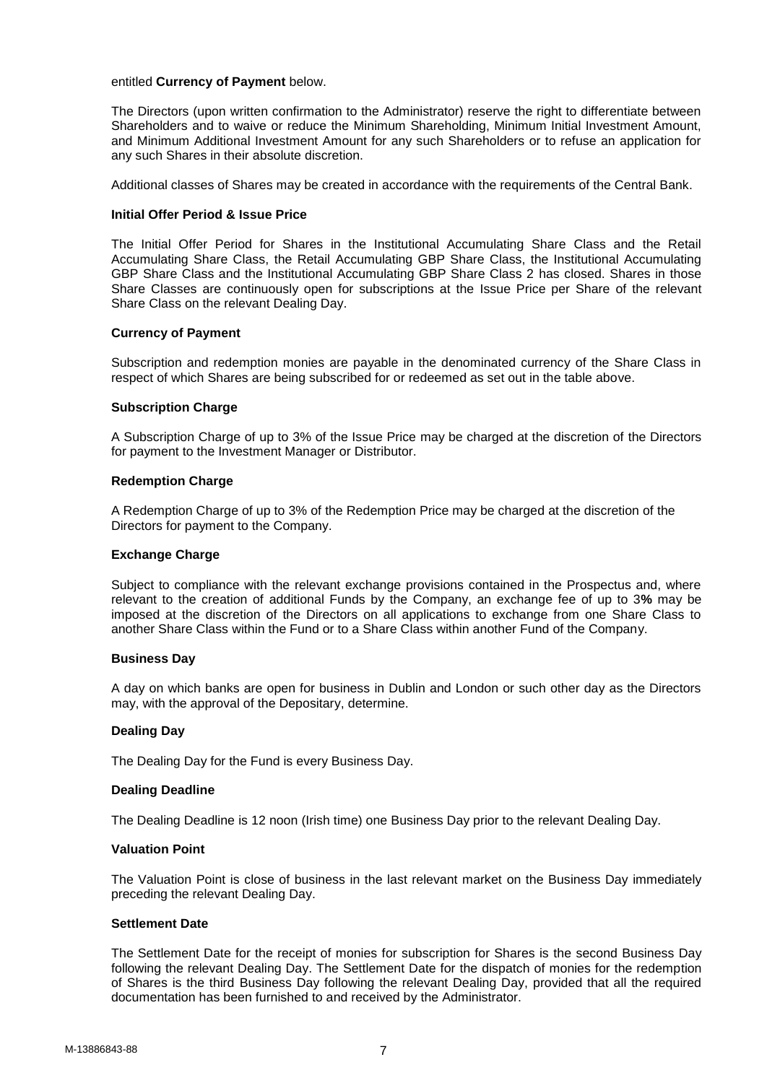## entitled **Currency of Payment** below.

The Directors (upon written confirmation to the Administrator) reserve the right to differentiate between Shareholders and to waive or reduce the Minimum Shareholding, Minimum Initial Investment Amount, and Minimum Additional Investment Amount for any such Shareholders or to refuse an application for any such Shares in their absolute discretion.

Additional classes of Shares may be created in accordance with the requirements of the Central Bank.

### **Initial Offer Period & Issue Price**

The Initial Offer Period for Shares in the Institutional Accumulating Share Class and the Retail Accumulating Share Class, the Retail Accumulating GBP Share Class, the Institutional Accumulating GBP Share Class and the Institutional Accumulating GBP Share Class 2 has closed. Shares in those Share Classes are continuously open for subscriptions at the Issue Price per Share of the relevant Share Class on the relevant Dealing Day.

### **Currency of Payment**

Subscription and redemption monies are payable in the denominated currency of the Share Class in respect of which Shares are being subscribed for or redeemed as set out in the table above.

### **Subscription Charge**

A Subscription Charge of up to 3% of the Issue Price may be charged at the discretion of the Directors for payment to the Investment Manager or Distributor.

### **Redemption Charge**

A Redemption Charge of up to 3% of the Redemption Price may be charged at the discretion of the Directors for payment to the Company.

#### **Exchange Charge**

Subject to compliance with the relevant exchange provisions contained in the Prospectus and, where relevant to the creation of additional Funds by the Company, an exchange fee of up to 3**%** may be imposed at the discretion of the Directors on all applications to exchange from one Share Class to another Share Class within the Fund or to a Share Class within another Fund of the Company.

### **Business Day**

A day on which banks are open for business in Dublin and London or such other day as the Directors may, with the approval of the Depositary, determine.

#### **Dealing Day**

The Dealing Day for the Fund is every Business Day.

#### **Dealing Deadline**

The Dealing Deadline is 12 noon (Irish time) one Business Day prior to the relevant Dealing Day.

## **Valuation Point**

The Valuation Point is close of business in the last relevant market on the Business Day immediately preceding the relevant Dealing Day.

## **Settlement Date**

The Settlement Date for the receipt of monies for subscription for Shares is the second Business Day following the relevant Dealing Day. The Settlement Date for the dispatch of monies for the redemption of Shares is the third Business Day following the relevant Dealing Day, provided that all the required documentation has been furnished to and received by the Administrator.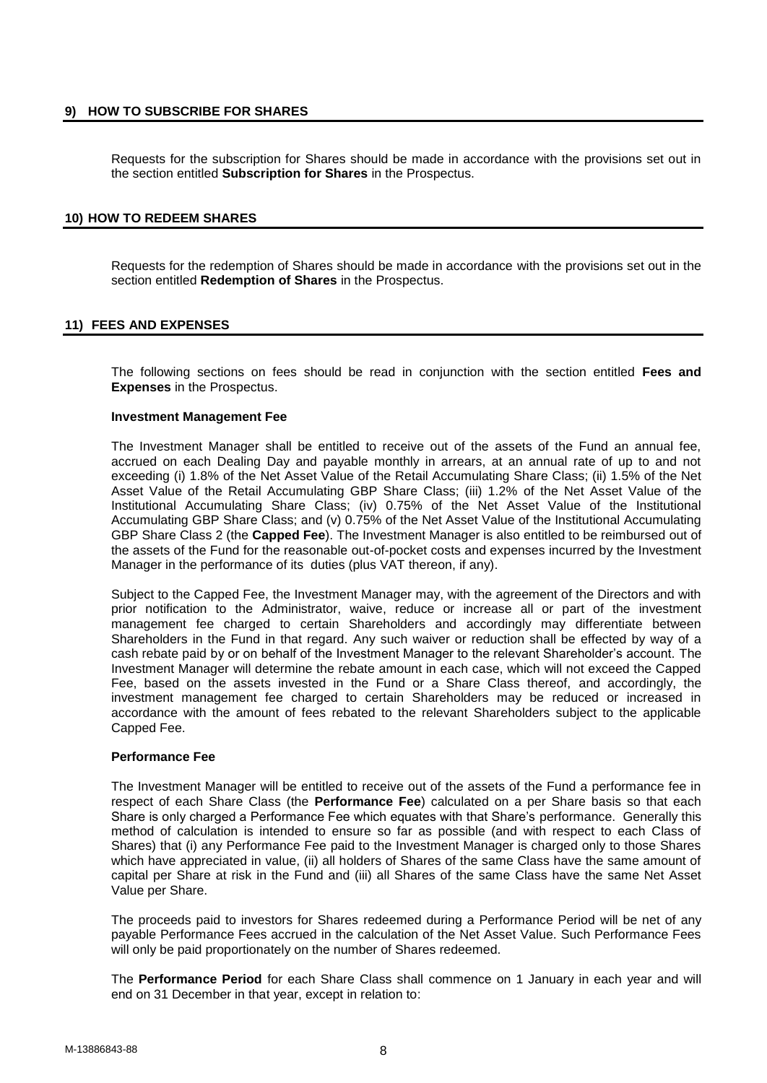## <span id="page-7-0"></span>**9) HOW TO SUBSCRIBE FOR SHARES**

Requests for the subscription for Shares should be made in accordance with the provisions set out in the section entitled **Subscription for Shares** in the Prospectus.

## <span id="page-7-1"></span>**10) HOW TO REDEEM SHARES**

Requests for the redemption of Shares should be made in accordance with the provisions set out in the section entitled **Redemption of Shares** in the Prospectus.

## <span id="page-7-2"></span>**11) FEES AND EXPENSES**

The following sections on fees should be read in conjunction with the section entitled **Fees and Expenses** in the Prospectus.

## **Investment Management Fee**

The Investment Manager shall be entitled to receive out of the assets of the Fund an annual fee, accrued on each Dealing Day and payable monthly in arrears, at an annual rate of up to and not exceeding (i) 1.8% of the Net Asset Value of the Retail Accumulating Share Class; (ii) 1.5% of the Net Asset Value of the Retail Accumulating GBP Share Class; (iii) 1.2% of the Net Asset Value of the Institutional Accumulating Share Class; (iv) 0.75% of the Net Asset Value of the Institutional Accumulating GBP Share Class; and (v) 0.75% of the Net Asset Value of the Institutional Accumulating GBP Share Class 2 (the **Capped Fee**). The Investment Manager is also entitled to be reimbursed out of the assets of the Fund for the reasonable out-of-pocket costs and expenses incurred by the Investment Manager in the performance of its duties (plus VAT thereon, if any).

Subject to the Capped Fee, the Investment Manager may, with the agreement of the Directors and with prior notification to the Administrator, waive, reduce or increase all or part of the investment management fee charged to certain Shareholders and accordingly may differentiate between Shareholders in the Fund in that regard. Any such waiver or reduction shall be effected by way of a cash rebate paid by or on behalf of the Investment Manager to the relevant Shareholder's account. The Investment Manager will determine the rebate amount in each case, which will not exceed the Capped Fee, based on the assets invested in the Fund or a Share Class thereof, and accordingly, the investment management fee charged to certain Shareholders may be reduced or increased in accordance with the amount of fees rebated to the relevant Shareholders subject to the applicable Capped Fee.

## **Performance Fee**

The Investment Manager will be entitled to receive out of the assets of the Fund a performance fee in respect of each Share Class (the **Performance Fee**) calculated on a per Share basis so that each Share is only charged a Performance Fee which equates with that Share's performance. Generally this method of calculation is intended to ensure so far as possible (and with respect to each Class of Shares) that (i) any Performance Fee paid to the Investment Manager is charged only to those Shares which have appreciated in value, (ii) all holders of Shares of the same Class have the same amount of capital per Share at risk in the Fund and (iii) all Shares of the same Class have the same Net Asset Value per Share.

The proceeds paid to investors for Shares redeemed during a Performance Period will be net of any payable Performance Fees accrued in the calculation of the Net Asset Value. Such Performance Fees will only be paid proportionately on the number of Shares redeemed.

The **Performance Period** for each Share Class shall commence on 1 January in each year and will end on 31 December in that year, except in relation to: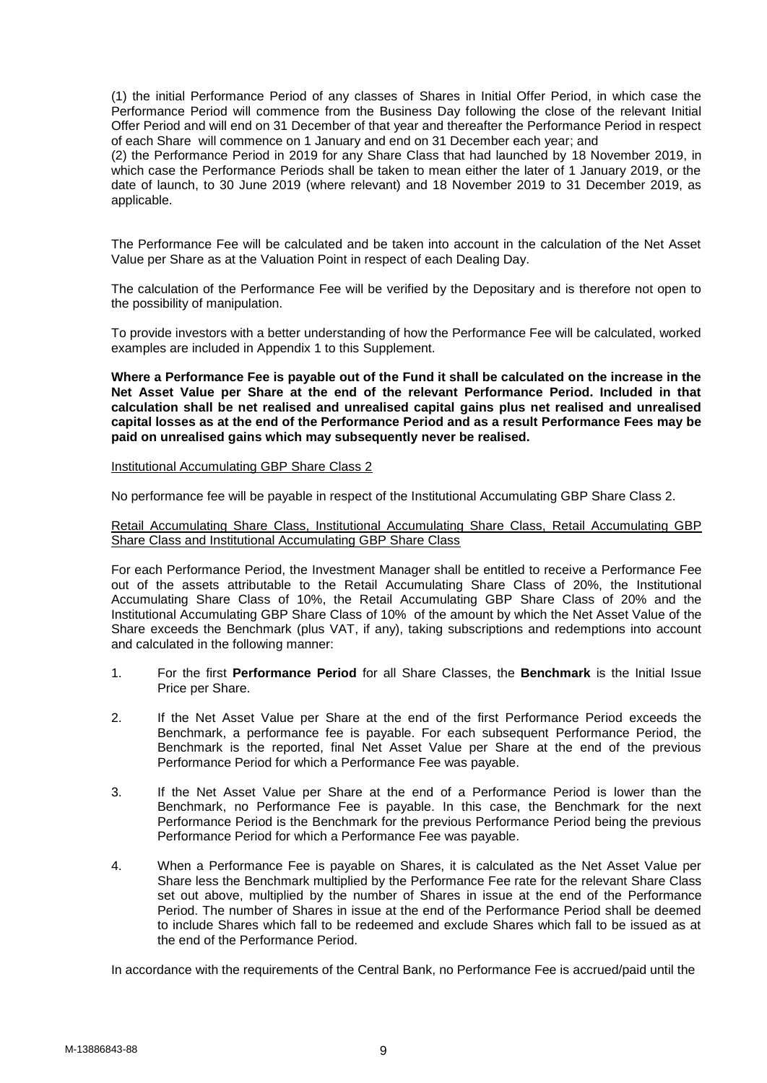(1) the initial Performance Period of any classes of Shares in Initial Offer Period, in which case the Performance Period will commence from the Business Day following the close of the relevant Initial Offer Period and will end on 31 December of that year and thereafter the Performance Period in respect of each Share will commence on 1 January and end on 31 December each year; and

(2) the Performance Period in 2019 for any Share Class that had launched by 18 November 2019, in which case the Performance Periods shall be taken to mean either the later of 1 January 2019, or the date of launch, to 30 June 2019 (where relevant) and 18 November 2019 to 31 December 2019, as applicable.

The Performance Fee will be calculated and be taken into account in the calculation of the Net Asset Value per Share as at the Valuation Point in respect of each Dealing Day.

The calculation of the Performance Fee will be verified by the Depositary and is therefore not open to the possibility of manipulation.

To provide investors with a better understanding of how the Performance Fee will be calculated, worked examples are included in Appendix 1 to this Supplement.

**Where a Performance Fee is payable out of the Fund it shall be calculated on the increase in the Net Asset Value per Share at the end of the relevant Performance Period. Included in that calculation shall be net realised and unrealised capital gains plus net realised and unrealised capital losses as at the end of the Performance Period and as a result Performance Fees may be paid on unrealised gains which may subsequently never be realised.**

## Institutional Accumulating GBP Share Class 2

No performance fee will be payable in respect of the Institutional Accumulating GBP Share Class 2.

### Retail Accumulating Share Class, Institutional Accumulating Share Class, Retail Accumulating GBP Share Class and Institutional Accumulating GBP Share Class

For each Performance Period, the Investment Manager shall be entitled to receive a Performance Fee out of the assets attributable to the Retail Accumulating Share Class of 20%, the Institutional Accumulating Share Class of 10%, the Retail Accumulating GBP Share Class of 20% and the Institutional Accumulating GBP Share Class of 10% of the amount by which the Net Asset Value of the Share exceeds the Benchmark (plus VAT, if any), taking subscriptions and redemptions into account and calculated in the following manner:

- 1. For the first **Performance Period** for all Share Classes, the **Benchmark** is the Initial Issue Price per Share.
- 2. If the Net Asset Value per Share at the end of the first Performance Period exceeds the Benchmark, a performance fee is payable. For each subsequent Performance Period, the Benchmark is the reported, final Net Asset Value per Share at the end of the previous Performance Period for which a Performance Fee was payable.
- 3. If the Net Asset Value per Share at the end of a Performance Period is lower than the Benchmark, no Performance Fee is payable. In this case, the Benchmark for the next Performance Period is the Benchmark for the previous Performance Period being the previous Performance Period for which a Performance Fee was payable.
- 4. When a Performance Fee is payable on Shares, it is calculated as the Net Asset Value per Share less the Benchmark multiplied by the Performance Fee rate for the relevant Share Class set out above, multiplied by the number of Shares in issue at the end of the Performance Period. The number of Shares in issue at the end of the Performance Period shall be deemed to include Shares which fall to be redeemed and exclude Shares which fall to be issued as at the end of the Performance Period.

In accordance with the requirements of the Central Bank, no Performance Fee is accrued/paid until the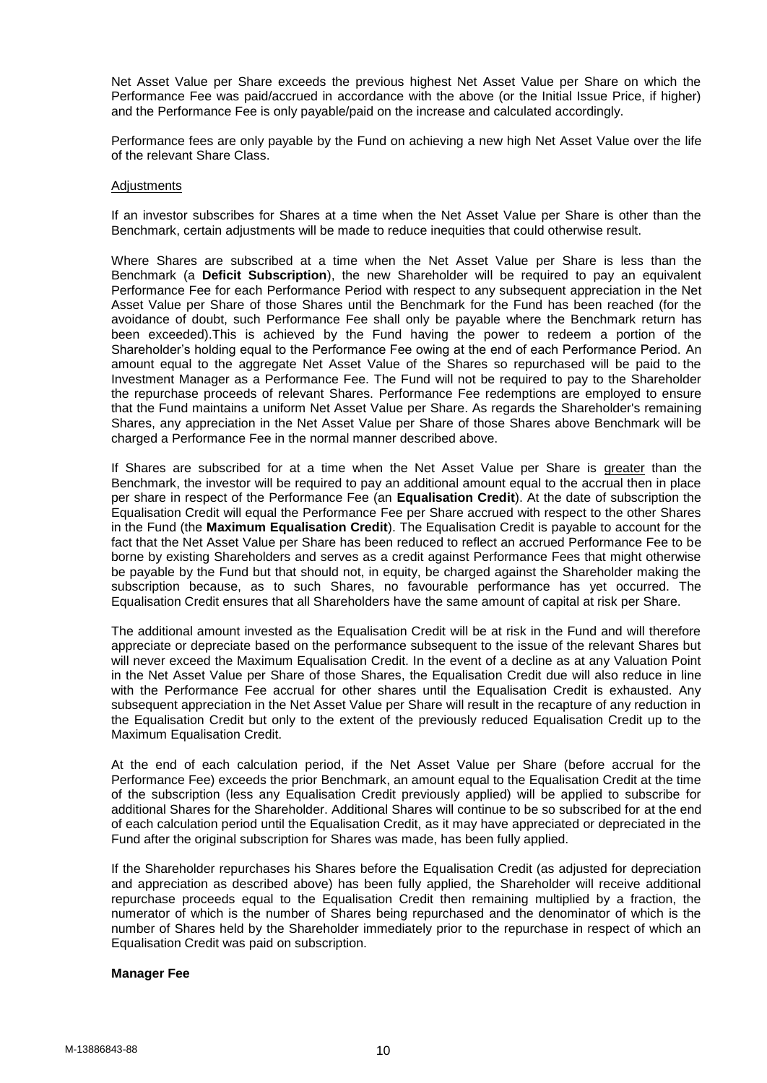Net Asset Value per Share exceeds the previous highest Net Asset Value per Share on which the Performance Fee was paid/accrued in accordance with the above (or the Initial Issue Price, if higher) and the Performance Fee is only payable/paid on the increase and calculated accordingly.

Performance fees are only payable by the Fund on achieving a new high Net Asset Value over the life of the relevant Share Class.

### Adjustments

If an investor subscribes for Shares at a time when the Net Asset Value per Share is other than the Benchmark, certain adjustments will be made to reduce inequities that could otherwise result.

Where Shares are subscribed at a time when the Net Asset Value per Share is less than the Benchmark (a **Deficit Subscription**), the new Shareholder will be required to pay an equivalent Performance Fee for each Performance Period with respect to any subsequent appreciation in the Net Asset Value per Share of those Shares until the Benchmark for the Fund has been reached (for the avoidance of doubt, such Performance Fee shall only be payable where the Benchmark return has been exceeded).This is achieved by the Fund having the power to redeem a portion of the Shareholder's holding equal to the Performance Fee owing at the end of each Performance Period. An amount equal to the aggregate Net Asset Value of the Shares so repurchased will be paid to the Investment Manager as a Performance Fee. The Fund will not be required to pay to the Shareholder the repurchase proceeds of relevant Shares. Performance Fee redemptions are employed to ensure that the Fund maintains a uniform Net Asset Value per Share. As regards the Shareholder's remaining Shares, any appreciation in the Net Asset Value per Share of those Shares above Benchmark will be charged a Performance Fee in the normal manner described above.

If Shares are subscribed for at a time when the Net Asset Value per Share is greater than the Benchmark, the investor will be required to pay an additional amount equal to the accrual then in place per share in respect of the Performance Fee (an **Equalisation Credit**). At the date of subscription the Equalisation Credit will equal the Performance Fee per Share accrued with respect to the other Shares in the Fund (the **Maximum Equalisation Credit**). The Equalisation Credit is payable to account for the fact that the Net Asset Value per Share has been reduced to reflect an accrued Performance Fee to be borne by existing Shareholders and serves as a credit against Performance Fees that might otherwise be payable by the Fund but that should not, in equity, be charged against the Shareholder making the subscription because, as to such Shares, no favourable performance has yet occurred. The Equalisation Credit ensures that all Shareholders have the same amount of capital at risk per Share.

The additional amount invested as the Equalisation Credit will be at risk in the Fund and will therefore appreciate or depreciate based on the performance subsequent to the issue of the relevant Shares but will never exceed the Maximum Equalisation Credit. In the event of a decline as at any Valuation Point in the Net Asset Value per Share of those Shares, the Equalisation Credit due will also reduce in line with the Performance Fee accrual for other shares until the Equalisation Credit is exhausted. Any subsequent appreciation in the Net Asset Value per Share will result in the recapture of any reduction in the Equalisation Credit but only to the extent of the previously reduced Equalisation Credit up to the Maximum Equalisation Credit.

At the end of each calculation period, if the Net Asset Value per Share (before accrual for the Performance Fee) exceeds the prior Benchmark, an amount equal to the Equalisation Credit at the time of the subscription (less any Equalisation Credit previously applied) will be applied to subscribe for additional Shares for the Shareholder. Additional Shares will continue to be so subscribed for at the end of each calculation period until the Equalisation Credit, as it may have appreciated or depreciated in the Fund after the original subscription for Shares was made, has been fully applied.

If the Shareholder repurchases his Shares before the Equalisation Credit (as adjusted for depreciation and appreciation as described above) has been fully applied, the Shareholder will receive additional repurchase proceeds equal to the Equalisation Credit then remaining multiplied by a fraction, the numerator of which is the number of Shares being repurchased and the denominator of which is the number of Shares held by the Shareholder immediately prior to the repurchase in respect of which an Equalisation Credit was paid on subscription.

#### **Manager Fee**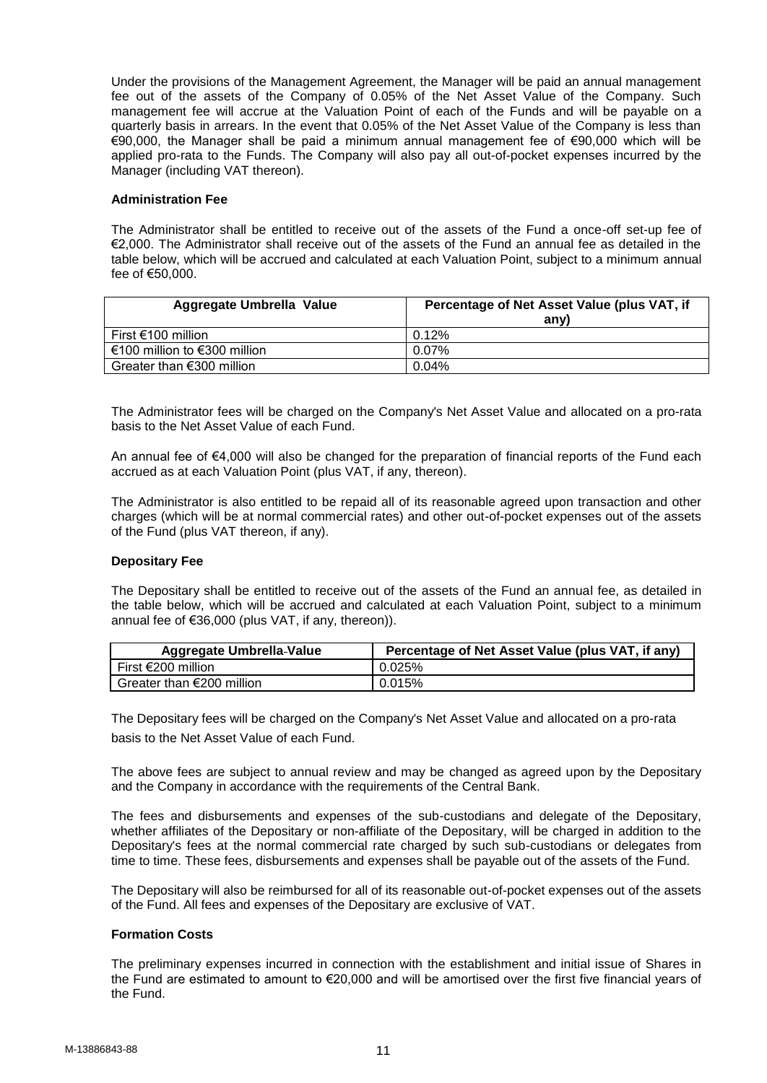Under the provisions of the Management Agreement, the Manager will be paid an annual management fee out of the assets of the Company of 0.05% of the Net Asset Value of the Company. Such management fee will accrue at the Valuation Point of each of the Funds and will be payable on a quarterly basis in arrears. In the event that 0.05% of the Net Asset Value of the Company is less than €90,000, the Manager shall be paid a minimum annual management fee of €90,000 which will be applied pro-rata to the Funds. The Company will also pay all out-of-pocket expenses incurred by the Manager (including VAT thereon).

## **Administration Fee**

The Administrator shall be entitled to receive out of the assets of the Fund a once-off set-up fee of €2,000. The Administrator shall receive out of the assets of the Fund an annual fee as detailed in the table below, which will be accrued and calculated at each Valuation Point, subject to a minimum annual fee of €50,000.

| <b>Aggregate Umbrella Value</b> | Percentage of Net Asset Value (plus VAT, if<br>any) |
|---------------------------------|-----------------------------------------------------|
| First €100 million              | 0.12%                                               |
| €100 million to €300 million    | $0.07\%$                                            |
| Greater than $€300$ million     | 0.04%                                               |

The Administrator fees will be charged on the Company's Net Asset Value and allocated on a pro-rata basis to the Net Asset Value of each Fund.

An annual fee of €4,000 will also be changed for the preparation of financial reports of the Fund each accrued as at each Valuation Point (plus VAT, if any, thereon).

The Administrator is also entitled to be repaid all of its reasonable agreed upon transaction and other charges (which will be at normal commercial rates) and other out-of-pocket expenses out of the assets of the Fund (plus VAT thereon, if any).

## **Depositary Fee**

The Depositary shall be entitled to receive out of the assets of the Fund an annual fee, as detailed in the table below, which will be accrued and calculated at each Valuation Point, subject to a minimum annual fee of €36,000 (plus VAT, if any, thereon)).

| <b>Aggregate Umbrella-Value</b> | Percentage of Net Asset Value (plus VAT, if any) |  |  |  |  |
|---------------------------------|--------------------------------------------------|--|--|--|--|
| First €200 million              | 0.025%                                           |  |  |  |  |
| Greater than $€200$ million     | 0.015%                                           |  |  |  |  |

The Depositary fees will be charged on the Company's Net Asset Value and allocated on a pro-rata basis to the Net Asset Value of each Fund.

The above fees are subject to annual review and may be changed as agreed upon by the Depositary and the Company in accordance with the requirements of the Central Bank.

The fees and disbursements and expenses of the sub-custodians and delegate of the Depositary, whether affiliates of the Depositary or non-affiliate of the Depositary, will be charged in addition to the Depositary's fees at the normal commercial rate charged by such sub-custodians or delegates from time to time. These fees, disbursements and expenses shall be payable out of the assets of the Fund.

The Depositary will also be reimbursed for all of its reasonable out-of-pocket expenses out of the assets of the Fund. All fees and expenses of the Depositary are exclusive of VAT.

## **Formation Costs**

The preliminary expenses incurred in connection with the establishment and initial issue of Shares in the Fund are estimated to amount to €20,000 and will be amortised over the first five financial years of the Fund.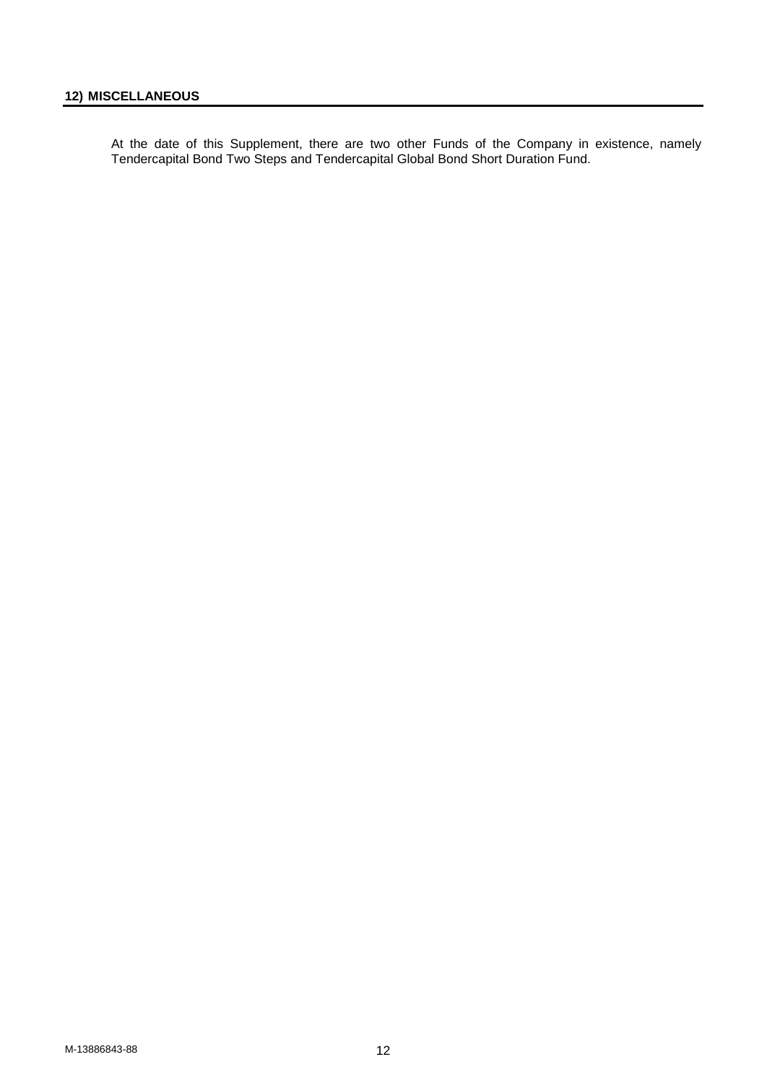<span id="page-11-0"></span>At the date of this Supplement, there are two other Funds of the Company in existence, namely Tendercapital Bond Two Steps and Tendercapital Global Bond Short Duration Fund.